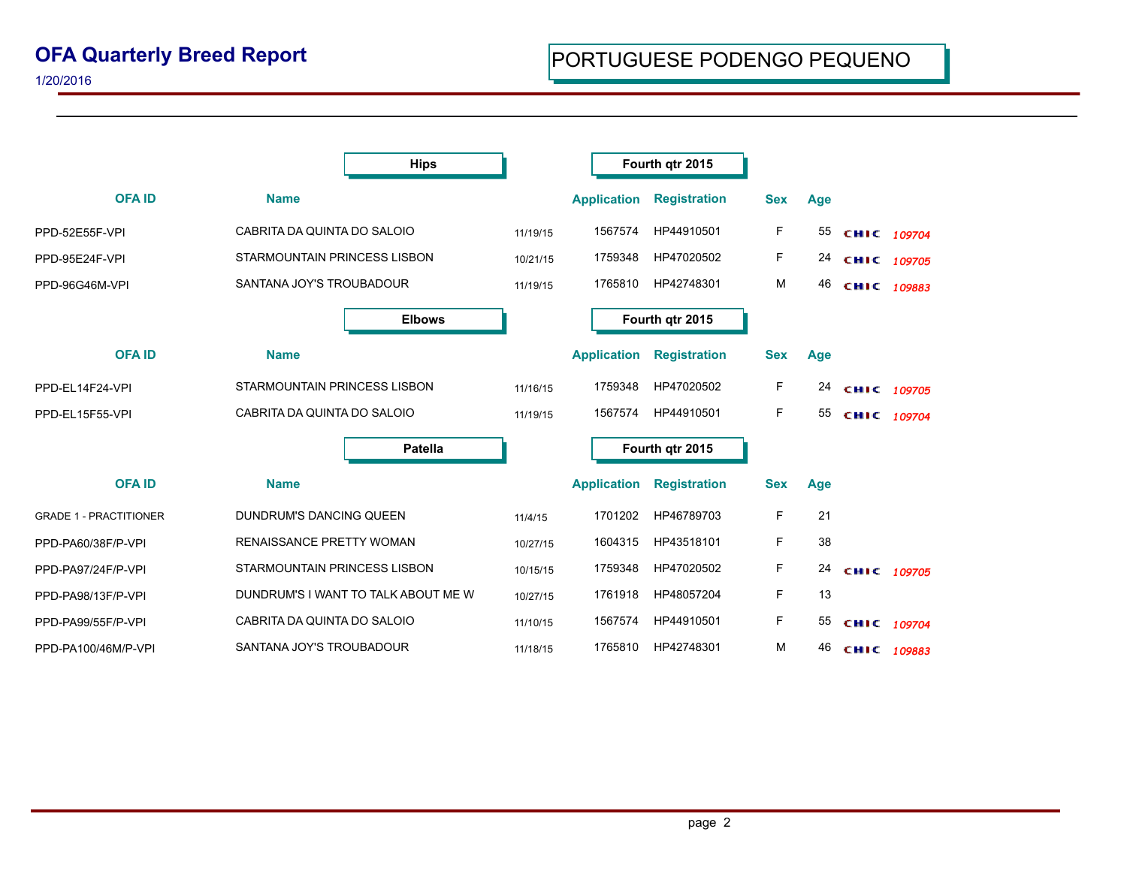|                               |                                | <b>Hips</b>                         |          |                    | Fourth qtr 2015     |            |     |             |  |
|-------------------------------|--------------------------------|-------------------------------------|----------|--------------------|---------------------|------------|-----|-------------|--|
| <b>OFAID</b>                  | <b>Name</b>                    |                                     |          | <b>Application</b> | <b>Registration</b> | <b>Sex</b> | Age |             |  |
| PPD-52E55F-VPI                | CABRITA DA QUINTA DO SALOIO    |                                     | 11/19/15 | 1567574            | HP44910501          | F.         | 55  | CHIC 109704 |  |
| PPD-95E24F-VPI                | STARMOUNTAIN PRINCESS LISBON   |                                     | 10/21/15 | 1759348            | HP47020502          | F.         | 24  | CHIC 109705 |  |
| PPD-96G46M-VPI                | SANTANA JOY'S TROUBADOUR       |                                     | 11/19/15 | 1765810            | HP42748301          | M          | 46  | CHIC 109883 |  |
|                               |                                | <b>Elbows</b>                       |          |                    | Fourth qtr 2015     |            |     |             |  |
| <b>OFAID</b>                  | <b>Name</b>                    |                                     |          | <b>Application</b> | <b>Registration</b> | <b>Sex</b> | Age |             |  |
| PPD-EL14F24-VPI               | STARMOUNTAIN PRINCESS LISBON   |                                     | 11/16/15 | 1759348            | HP47020502          | F.         | 24  | CHIC 109705 |  |
| PPD-EL15F55-VPI               |                                | CABRITA DA QUINTA DO SALOIO         |          | 1567574            | HP44910501          | F          | 55  | CHIC 109704 |  |
|                               |                                | Patella                             |          | Fourth qtr 2015    |                     |            |     |             |  |
| <b>OFAID</b>                  | <b>Name</b>                    |                                     |          | <b>Application</b> | <b>Registration</b> | <b>Sex</b> | Age |             |  |
| <b>GRADE 1 - PRACTITIONER</b> | <b>DUNDRUM'S DANCING QUEEN</b> |                                     | 11/4/15  | 1701202            | HP46789703          | F.         | 21  |             |  |
| PPD-PA60/38F/P-VPI            | RENAISSANCE PRETTY WOMAN       |                                     | 10/27/15 | 1604315            | HP43518101          | F          | 38  |             |  |
| PPD-PA97/24F/P-VPI            |                                | STARMOUNTAIN PRINCESS LISBON        |          | 1759348            | HP47020502          | F          | 24  | CHIC 109705 |  |
| PPD-PA98/13F/P-VPI            |                                | DUNDRUM'S I WANT TO TALK ABOUT ME W | 10/27/15 | 1761918            | HP48057204          | F          | 13  |             |  |
| PPD-PA99/55F/P-VPI            | CABRITA DA QUINTA DO SALOIO    |                                     | 11/10/15 | 1567574            | HP44910501          | F.         | 55  | CHIC 109704 |  |
| PPD-PA100/46M/P-VPI           | SANTANA JOY'S TROUBADOUR       |                                     | 11/18/15 | 1765810            | HP42748301          | М          | 46  | CHIC 109883 |  |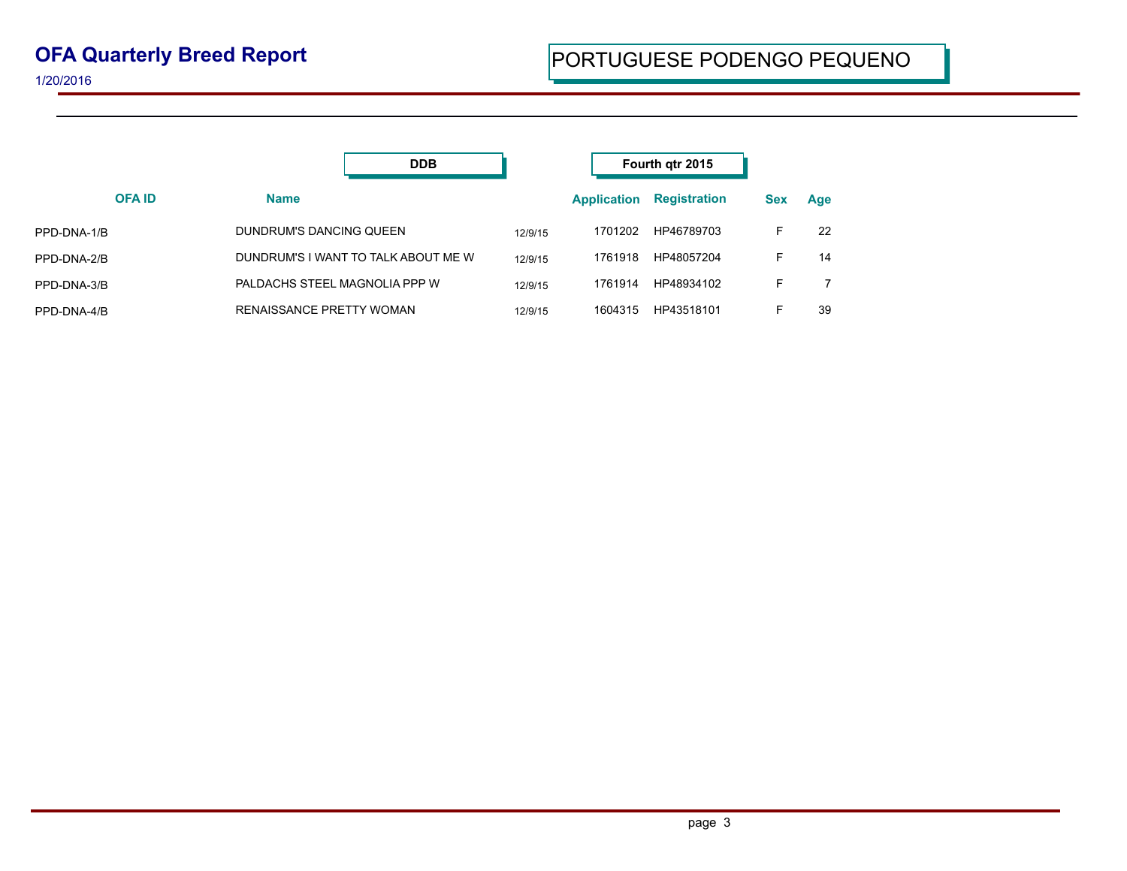|              | <b>DDB</b>                          |         | Fourth qtr 2015    |                     |            |     |
|--------------|-------------------------------------|---------|--------------------|---------------------|------------|-----|
| <b>OFAID</b> | <b>Name</b>                         |         | <b>Application</b> | <b>Registration</b> | <b>Sex</b> | Age |
| PPD-DNA-1/B  | DUNDRUM'S DANCING QUEEN             | 12/9/15 | 1701202            | HP46789703          | F          | 22  |
| PPD-DNA-2/B  | DUNDRUM'S I WANT TO TALK ABOUT ME W | 12/9/15 | 1761918            | HP48057204          | F          | 14  |
| PPD-DNA-3/B  | PALDACHS STEEL MAGNOLIA PPP W       | 12/9/15 | 1761914            | HP48934102          | F          |     |
| PPD-DNA-4/B  | RENAISSANCE PRETTY WOMAN            | 12/9/15 | 1604315            | HP43518101          | F          | 39  |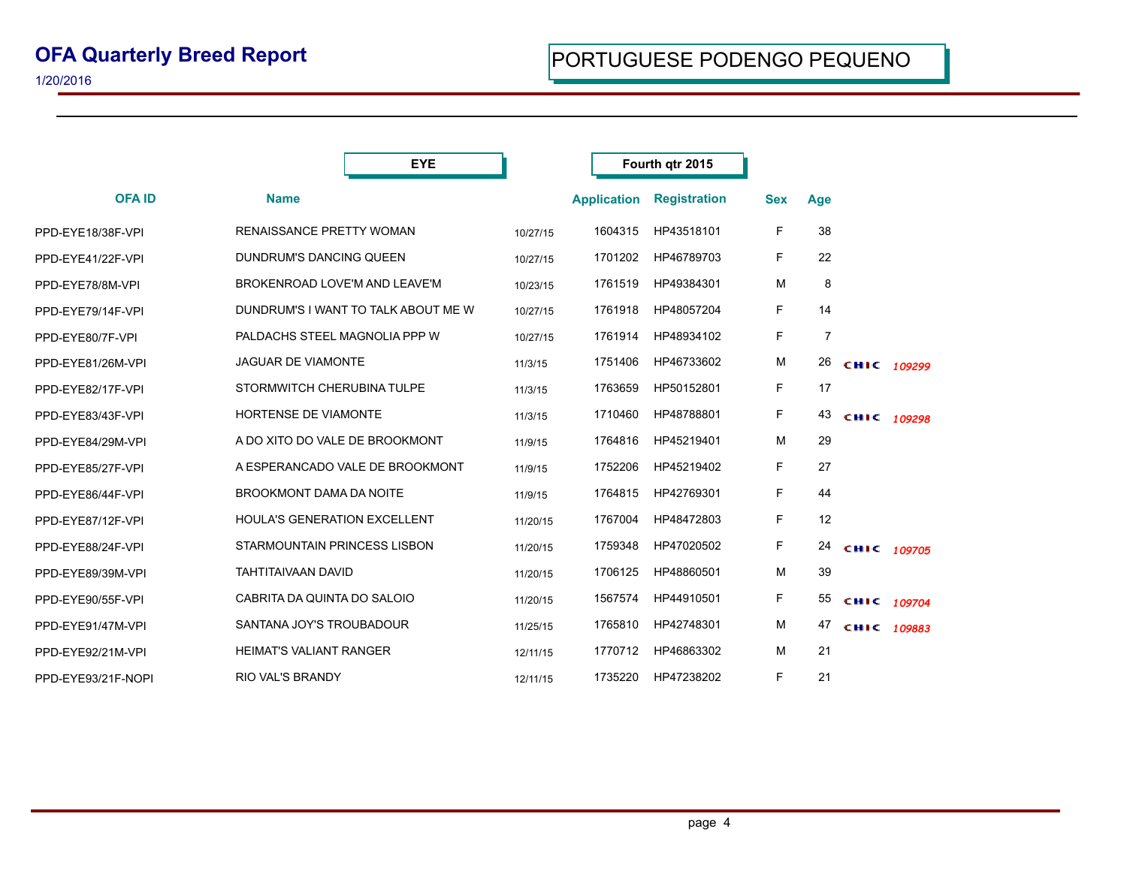|                    | <b>EYE</b>                          |          | Fourth qtr 2015    |                     |            |                |             |  |
|--------------------|-------------------------------------|----------|--------------------|---------------------|------------|----------------|-------------|--|
| <b>OFAID</b>       | <b>Name</b>                         |          | <b>Application</b> | <b>Registration</b> | <b>Sex</b> | Age            |             |  |
| PPD-EYE18/38F-VPI  | RENAISSANCE PRETTY WOMAN            | 10/27/15 | 1604315            | HP43518101          | F          | 38             |             |  |
| PPD-EYE41/22F-VPI  | DUNDRUM'S DANCING QUEEN             | 10/27/15 | 1701202            | HP46789703          | F.         | 22             |             |  |
| PPD-EYE78/8M-VPI   | BROKENROAD LOVE'M AND LEAVE'M       | 10/23/15 | 1761519            | HP49384301          | M          | 8              |             |  |
| PPD-EYE79/14F-VPI  | DUNDRUM'S I WANT TO TALK ABOUT ME W | 10/27/15 | 1761918            | HP48057204          | F.         | 14             |             |  |
| PPD-EYE80/7F-VPI   | PALDACHS STEEL MAGNOLIA PPP W       | 10/27/15 | 1761914            | HP48934102          | F          | $\overline{7}$ |             |  |
| PPD-EYE81/26M-VPI  | <b>JAGUAR DE VIAMONTE</b>           | 11/3/15  | 1751406            | HP46733602          | M          | 26             | CHIC 109299 |  |
| PPD-EYE82/17F-VPI  | STORMWITCH CHERUBINA TULPE          | 11/3/15  | 1763659            | HP50152801          | F.         | 17             |             |  |
| PPD-EYE83/43F-VPI  | <b>HORTENSE DE VIAMONTE</b>         | 11/3/15  | 1710460            | HP48788801          | F          | 43             | CHIC 109298 |  |
| PPD-EYE84/29M-VPI  | A DO XITO DO VALE DE BROOKMONT      | 11/9/15  | 1764816            | HP45219401          | M          | 29             |             |  |
| PPD-EYE85/27F-VPI  | A ESPERANCADO VALE DE BROOKMONT     | 11/9/15  | 1752206            | HP45219402          | F          | 27             |             |  |
| PPD-EYE86/44F-VPI  | <b>BROOKMONT DAMA DA NOITE</b>      | 11/9/15  | 1764815            | HP42769301          | F          | 44             |             |  |
| PPD-EYE87/12F-VPI  | HOULA'S GENERATION EXCELLENT        | 11/20/15 | 1767004            | HP48472803          | F          | 12             |             |  |
| PPD-EYE88/24F-VPI  | STARMOUNTAIN PRINCESS LISBON        | 11/20/15 | 1759348            | HP47020502          | F          | 24             | CHIC 109705 |  |
| PPD-EYE89/39M-VPI  | <b>TAHTITAIVAAN DAVID</b>           | 11/20/15 | 1706125            | HP48860501          | м          | 39             |             |  |
| PPD-EYE90/55F-VPI  | CABRITA DA QUINTA DO SALOIO         | 11/20/15 | 1567574            | HP44910501          | F          | 55             | CHIC 109704 |  |
| PPD-EYE91/47M-VPI  | SANTANA JOY'S TROUBADOUR            | 11/25/15 | 1765810            | HP42748301          | М          | 47             | CHIC 109883 |  |
| PPD-EYE92/21M-VPI  | <b>HEIMAT'S VALIANT RANGER</b>      | 12/11/15 | 1770712            | HP46863302          | M          | 21             |             |  |
| PPD-EYE93/21F-NOPI | <b>RIO VAL'S BRANDY</b>             | 12/11/15 | 1735220            | HP47238202          | F          | 21             |             |  |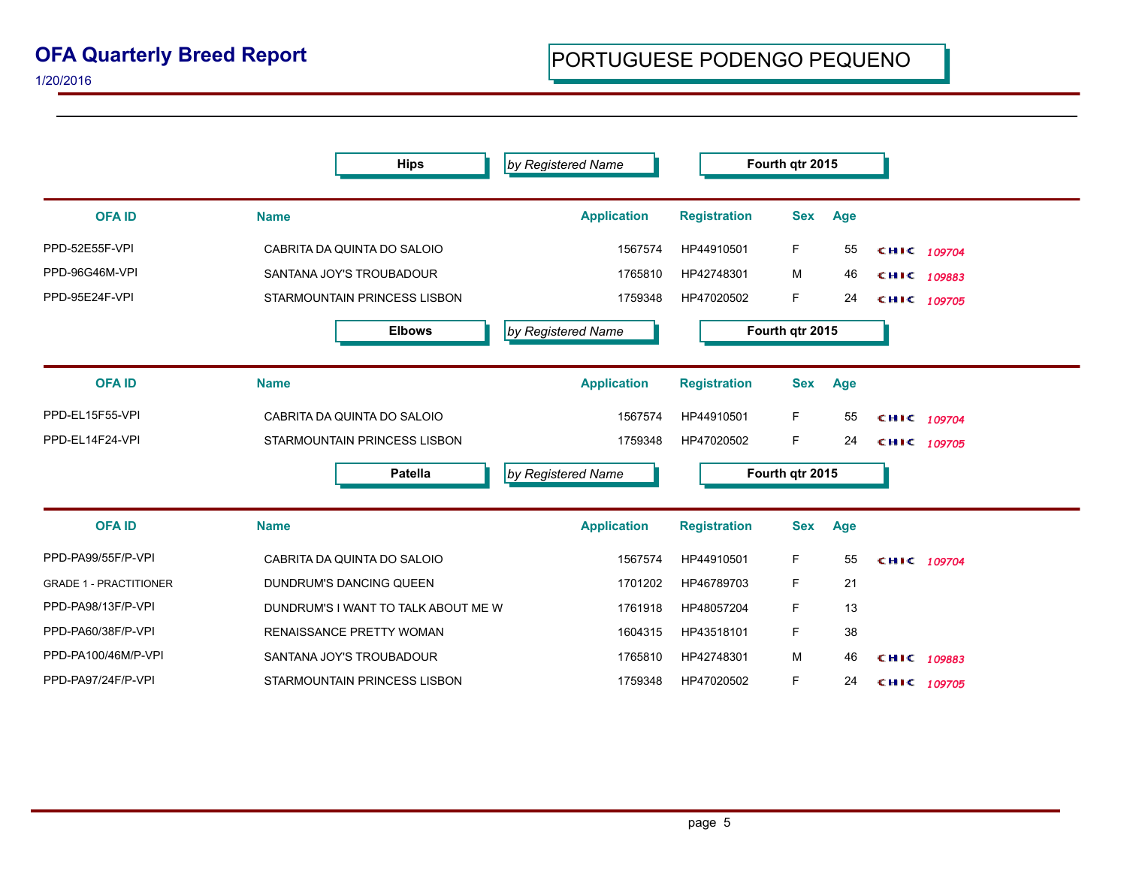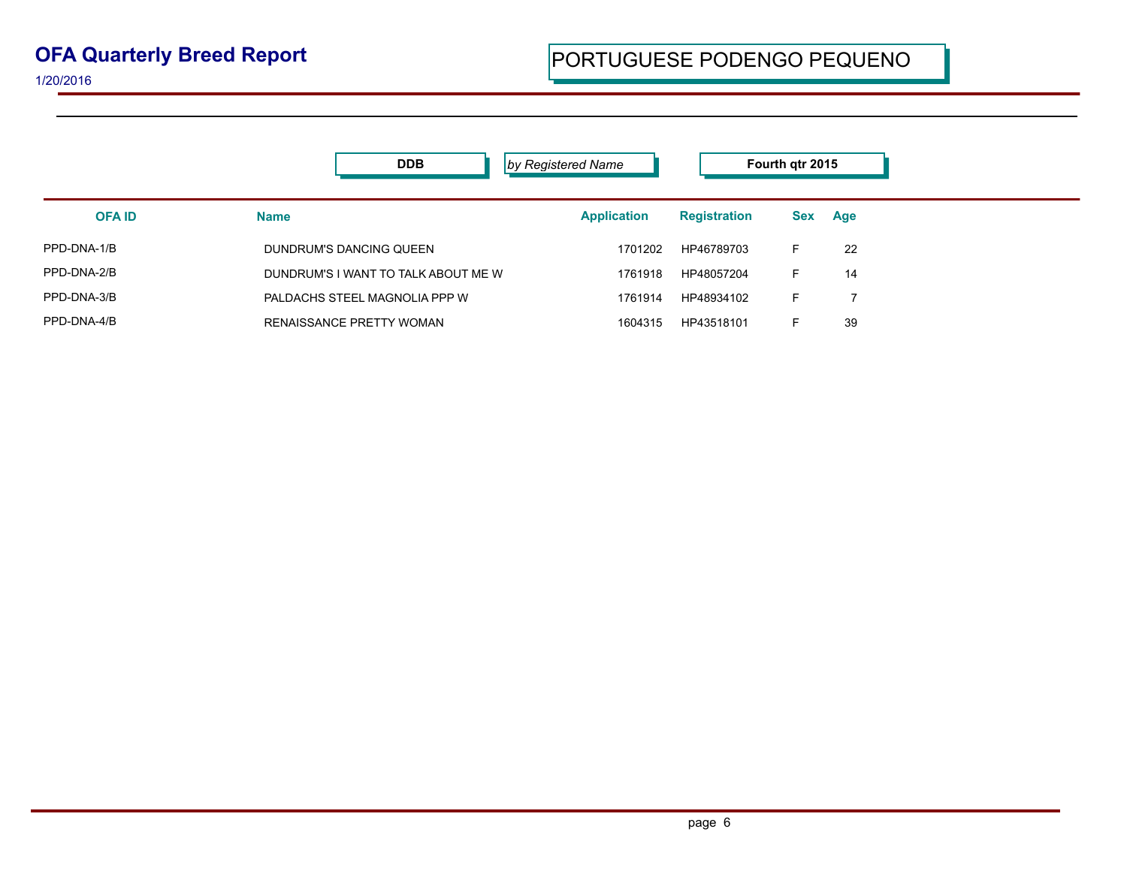|               | <b>DDB</b>                          | by Registered Name |                     | Fourth qtr 2015 |     |
|---------------|-------------------------------------|--------------------|---------------------|-----------------|-----|
| <b>OFA ID</b> | <b>Name</b>                         | <b>Application</b> | <b>Registration</b> | Sex             | Age |
| PPD-DNA-1/B   | DUNDRUM'S DANCING QUEEN             | 1701202            | HP46789703          | F.              | 22  |
| PPD-DNA-2/B   | DUNDRUM'S I WANT TO TALK ABOUT ME W | 1761918            | HP48057204          | F.              | 14  |
| PPD-DNA-3/B   | PALDACHS STEEL MAGNOLIA PPP W       | 1761914            | HP48934102          | F.              |     |
| PPD-DNA-4/B   | <b>RENAISSANCE PRETTY WOMAN</b>     | 1604315            | HP43518101          | F.              | 39  |